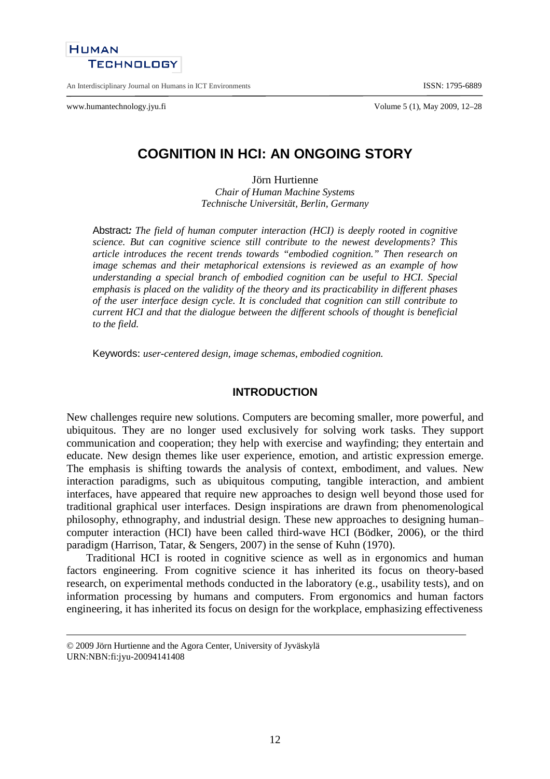

An Interdisciplinary Journal on Humans in ICT Environments **ISSN: 1795-6889** 

www.humantechnology.jyu.fi Volume 5 (1), May 2009, 12–28

# **COGNITION IN HCI: AN ONGOING STORY**

Jörn Hurtienne *Chair of Human Machine Systems Technische Universität, Berlin, Germany*

Abstract**:** *The field of human computer interaction (HCI) is deeply rooted in cognitive science. But can cognitive science still contribute to the newest developments? This article introduces the recent trends towards "embodied cognition." Then research on image schemas and their metaphorical extensions is reviewed as an example of how understanding a special branch of embodied cognition can be useful to HCI. Special emphasis is placed on the validity of the theory and its practicability in different phases of the user interface design cycle. It is concluded that cognition can still contribute to current HCI and that the dialogue between the different schools of thought is beneficial to the field.*

Keywords: *user-centered design, image schemas, embodied cognition.*

### **INTRODUCTION**

New challenges require new solutions. Computers are becoming smaller, more powerful, and ubiquitous. They are no longer used exclusively for solving work tasks. They support communication and cooperation; they help with exercise and wayfinding; they entertain and educate. New design themes like user experience, emotion, and artistic expression emerge. The emphasis is shifting towards the analysis of context, embodiment, and values. New interaction paradigms, such as ubiquitous computing, tangible interaction, and ambient interfaces, have appeared that require new approaches to design well beyond those used for traditional graphical user interfaces. Design inspirations are drawn from phenomenological philosophy, ethnography, and industrial design. These new approaches to designing human– computer interaction (HCI) have been called third-wave HCI (Bödker, 2006), or the third paradigm (Harrison, Tatar, & Sengers, 2007) in the sense of Kuhn (1970).

Traditional HCI is rooted in cognitive science as well as in ergonomics and human factors engineering. From cognitive science it has inherited its focus on theory-based research, on experimental methods conducted in the laboratory (e.g., usability tests), and on information processing by humans and computers. From ergonomics and human factors engineering, it has inherited its focus on design for the workplace, emphasizing effectiveness

<sup>© 2009</sup> Jörn Hurtienne and the Agora Center, University of Jyväskylä URN:NBN:fi:jyu-20094141408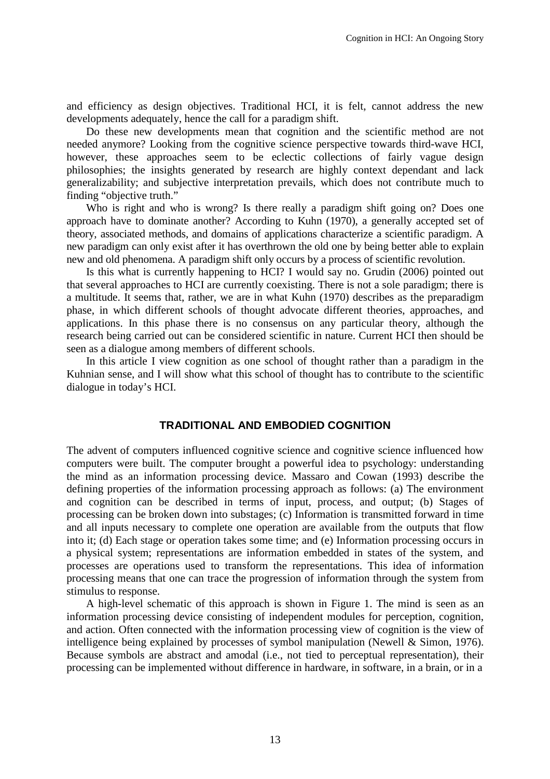and efficiency as design objectives. Traditional HCI, it is felt, cannot address the new developments adequately, hence the call for a paradigm shift.

Do these new developments mean that cognition and the scientific method are not needed anymore? Looking from the cognitive science perspective towards third-wave HCI, however, these approaches seem to be eclectic collections of fairly vague design philosophies; the insights generated by research are highly context dependant and lack generalizability; and subjective interpretation prevails, which does not contribute much to finding "objective truth."

Who is right and who is wrong? Is there really a paradigm shift going on? Does one approach have to dominate another? According to Kuhn (1970), a generally accepted set of theory, associated methods, and domains of applications characterize a scientific paradigm. A new paradigm can only exist after it has overthrown the old one by being better able to explain new and old phenomena. A paradigm shift only occurs by a process of scientific revolution.

Is this what is currently happening to HCI? I would say no. Grudin (2006) pointed out that several approaches to HCI are currently coexisting. There is not a sole paradigm; there is a multitude. It seems that, rather, we are in what Kuhn (1970) describes as the preparadigm phase, in which different schools of thought advocate different theories, approaches, and applications. In this phase there is no consensus on any particular theory, although the research being carried out can be considered scientific in nature. Current HCI then should be seen as a dialogue among members of different schools.

In this article I view cognition as one school of thought rather than a paradigm in the Kuhnian sense, and I will show what this school of thought has to contribute to the scientific dialogue in today's HCI.

### **TRADITIONAL AND EMBODIED COGNITION**

The advent of computers influenced cognitive science and cognitive science influenced how computers were built. The computer brought a powerful idea to psychology: understanding the mind as an information processing device. Massaro and Cowan (1993) describe the defining properties of the information processing approach as follows: (a) The environment and cognition can be described in terms of input, process, and output; (b) Stages of processing can be broken down into substages; (c) Information is transmitted forward in time and all inputs necessary to complete one operation are available from the outputs that flow into it; (d) Each stage or operation takes some time; and (e) Information processing occurs in a physical system; representations are information embedded in states of the system, and processes are operations used to transform the representations. This idea of information processing means that one can trace the progression of information through the system from stimulus to response.

A high-level schematic of this approach is shown in Figure 1. The mind is seen as an information processing device consisting of independent modules for perception, cognition, and action. Often connected with the information processing view of cognition is the view of intelligence being explained by processes of symbol manipulation (Newell & Simon, 1976). Because symbols are abstract and amodal (i.e., not tied to perceptual representation), their processing can be implemented without difference in hardware, in software, in a brain, or in a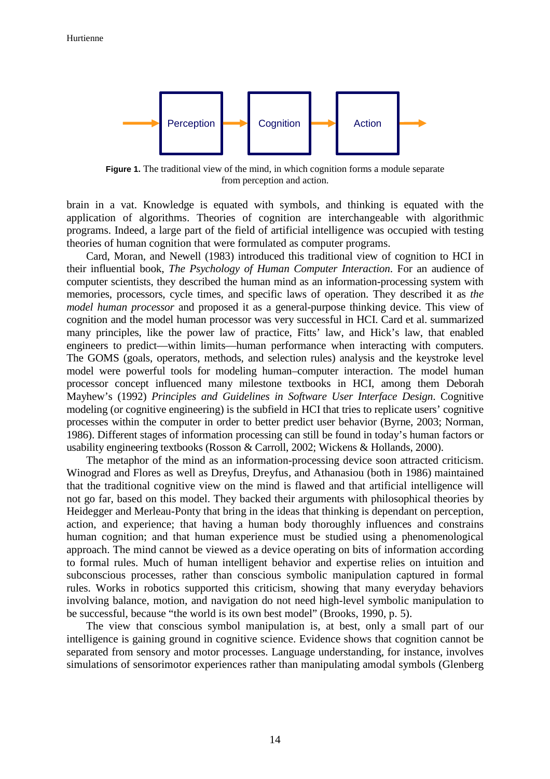

**Figure 1.** The traditional view of the mind, in which cognition forms a module separate from perception and action.

brain in a vat. Knowledge is equated with symbols, and thinking is equated with the application of algorithms. Theories of cognition are interchangeable with algorithmic programs. Indeed, a large part of the field of artificial intelligence was occupied with testing theories of human cognition that were formulated as computer programs.

Card, Moran, and Newell (1983) introduced this traditional view of cognition to HCI in their influential book, *The Psychology of Human Computer Interaction*. For an audience of computer scientists, they described the human mind as an information-processing system with memories, processors, cycle times, and specific laws of operation. They described it as *the model human processor* and proposed it as a general-purpose thinking device. This view of cognition and the model human processor was very successful in HCI. Card et al. summarized many principles, like the power law of practice, Fitts' law, and Hick's law, that enabled engineers to predict—within limits—human performance when interacting with computers. The GOMS (goals, operators, methods, and selection rules) analysis and the keystroke level model were powerful tools for modeling human–computer interaction. The model human processor concept influenced many milestone textbooks in HCI, among them Deborah Mayhew's (1992) *Principles and Guidelines in Software User Interface Design*. Cognitive modeling (or cognitive engineering) is the subfield in HCI that tries to replicate users' cognitive processes within the computer in order to better predict user behavior (Byrne, 2003; Norman, 1986). Different stages of information processing can still be found in today's human factors or usability engineering textbooks (Rosson & Carroll, 2002; Wickens & Hollands, 2000).

The metaphor of the mind as an information-processing device soon attracted criticism. Winograd and Flores as well as Dreyfus, Dreyfus, and Athanasiou (both in 1986) maintained that the traditional cognitive view on the mind is flawed and that artificial intelligence will not go far, based on this model. They backed their arguments with philosophical theories by Heidegger and Merleau-Ponty that bring in the ideas that thinking is dependant on perception, action, and experience; that having a human body thoroughly influences and constrains human cognition; and that human experience must be studied using a phenomenological approach. The mind cannot be viewed as a device operating on bits of information according to formal rules. Much of human intelligent behavior and expertise relies on intuition and subconscious processes, rather than conscious symbolic manipulation captured in formal rules. Works in robotics supported this criticism, showing that many everyday behaviors involving balance, motion, and navigation do not need high-level symbolic manipulation to be successful, because "the world is its own best model" (Brooks, 1990, p. 5).

The view that conscious symbol manipulation is, at best, only a small part of our intelligence is gaining ground in cognitive science. Evidence shows that cognition cannot be separated from sensory and motor processes. Language understanding, for instance, involves simulations of sensorimotor experiences rather than manipulating amodal symbols (Glenberg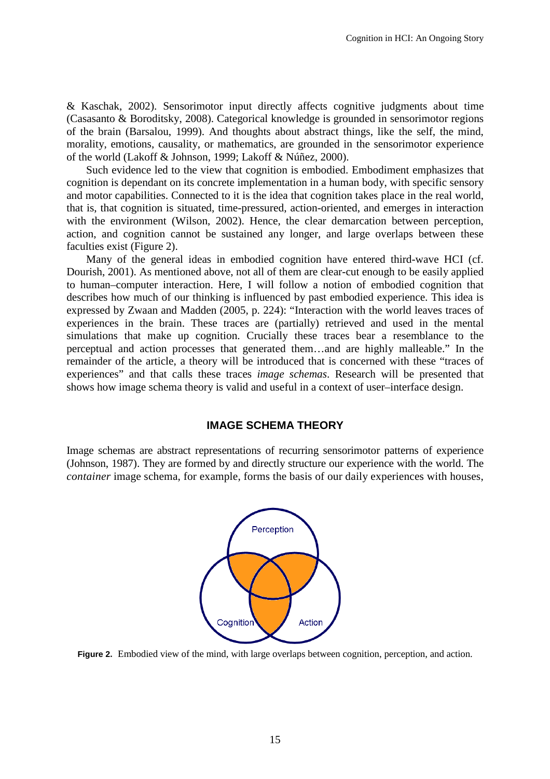& Kaschak, 2002). Sensorimotor input directly affects cognitive judgments about time (Casasanto & Boroditsky, 2008). Categorical knowledge is grounded in sensorimotor regions of the brain (Barsalou, 1999). And thoughts about abstract things, like the self, the mind, morality, emotions, causality, or mathematics, are grounded in the sensorimotor experience of the world (Lakoff & Johnson, 1999; Lakoff & Núñez, 2000).

Such evidence led to the view that cognition is embodied. Embodiment emphasizes that cognition is dependant on its concrete implementation in a human body, with specific sensory and motor capabilities. Connected to it is the idea that cognition takes place in the real world, that is, that cognition is situated, time-pressured, action-oriented, and emerges in interaction with the environment (Wilson, 2002). Hence, the clear demarcation between perception, action, and cognition cannot be sustained any longer, and large overlaps between these faculties exist (Figure 2).

Many of the general ideas in embodied cognition have entered third-wave HCI (cf. Dourish, 2001). As mentioned above, not all of them are clear-cut enough to be easily applied to human–computer interaction. Here, I will follow a notion of embodied cognition that describes how much of our thinking is influenced by past embodied experience. This idea is expressed by Zwaan and Madden (2005, p. 224): "Interaction with the world leaves traces of experiences in the brain. These traces are (partially) retrieved and used in the mental simulations that make up cognition. Crucially these traces bear a resemblance to the perceptual and action processes that generated them…and are highly malleable." In the remainder of the article, a theory will be introduced that is concerned with these "traces of experiences" and that calls these traces *image schemas*. Research will be presented that shows how image schema theory is valid and useful in a context of user–interface design.

## **IMAGE SCHEMA THEORY**

Image schemas are abstract representations of recurring sensorimotor patterns of experience (Johnson, 1987). They are formed by and directly structure our experience with the world. The *container* image schema, for example, forms the basis of our daily experiences with houses,



**Figure 2.** Embodied view of the mind, with large overlaps between cognition, perception, and action.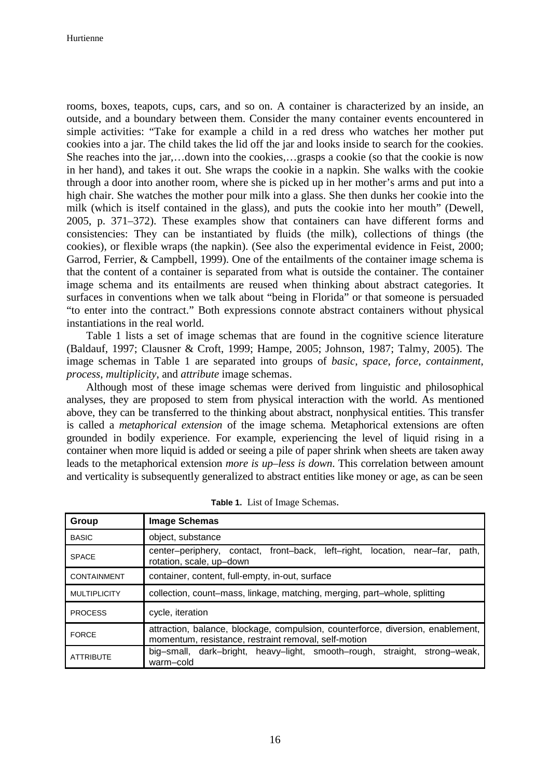rooms, boxes, teapots, cups, cars, and so on. A container is characterized by an inside, an outside, and a boundary between them. Consider the many container events encountered in simple activities: "Take for example a child in a red dress who watches her mother put cookies into a jar. The child takes the lid off the jar and looks inside to search for the cookies. She reaches into the jar,…down into the cookies,…grasps a cookie (so that the cookie is now in her hand), and takes it out. She wraps the cookie in a napkin. She walks with the cookie through a door into another room, where she is picked up in her mother's arms and put into a high chair. She watches the mother pour milk into a glass. She then dunks her cookie into the milk (which is itself contained in the glass), and puts the cookie into her mouth" (Dewell, 2005, p. 371–372). These examples show that containers can have different forms and consistencies: They can be instantiated by fluids (the milk), collections of things (the cookies), or flexible wraps (the napkin). (See also the experimental evidence in Feist, 2000; Garrod, Ferrier, & Campbell, 1999). One of the entailments of the container image schema is that the content of a container is separated from what is outside the container. The container image schema and its entailments are reused when thinking about abstract categories. It surfaces in conventions when we talk about "being in Florida" or that someone is persuaded "to enter into the contract." Both expressions connote abstract containers without physical instantiations in the real world.

Table 1 lists a set of image schemas that are found in the cognitive science literature (Baldauf, 1997; Clausner & Croft, 1999; Hampe, 2005; Johnson, 1987; Talmy, 2005). The image schemas in Table 1 are separated into groups of *basic*, *space*, *force*, *containment*, *process*, *multiplicity*, and *attribute* image schemas.

Although most of these image schemas were derived from linguistic and philosophical analyses, they are proposed to stem from physical interaction with the world. As mentioned above, they can be transferred to the thinking about abstract, nonphysical entities. This transfer is called a *metaphorical extension* of the image schema. Metaphorical extensions are often grounded in bodily experience. For example, experiencing the level of liquid rising in a container when more liquid is added or seeing a pile of paper shrink when sheets are taken away leads to the metaphorical extension *more is up–less is down*. This correlation between amount and verticality is subsequently generalized to abstract entities like money or age, as can be seen

| Group               | <b>Image Schemas</b>                                                                                                                    |
|---------------------|-----------------------------------------------------------------------------------------------------------------------------------------|
| <b>BASIC</b>        | object, substance                                                                                                                       |
| <b>SPACE</b>        | center-periphery, contact, front-back, left-right, location, near-far,<br>path,<br>rotation, scale, up-down                             |
| <b>CONTAINMENT</b>  | container, content, full-empty, in-out, surface                                                                                         |
| <b>MULTIPLICITY</b> | collection, count–mass, linkage, matching, merging, part–whole, splitting                                                               |
| <b>PROCESS</b>      | cycle, iteration                                                                                                                        |
| <b>FORCE</b>        | attraction, balance, blockage, compulsion, counterforce, diversion, enablement,<br>momentum, resistance, restraint removal, self-motion |
| <b>ATTRIBUTE</b>    | big-small, dark-bright, heavy-light, smooth-rough, straight,<br>strong-weak,<br>warm-cold                                               |

**Table 1.** List of Image Schemas.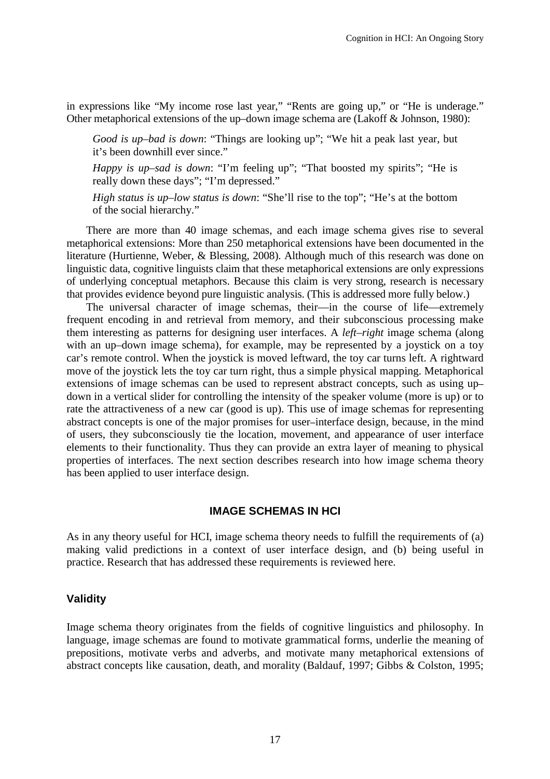in expressions like "My income rose last year," "Rents are going up," or "He is underage." Other metaphorical extensions of the up–down image schema are (Lakoff & Johnson, 1980):

*Good is up–bad is down*: "Things are looking up"; "We hit a peak last year, but it's been downhill ever since."

*Happy is up–sad is down*: "I'm feeling up"; "That boosted my spirits"; "He is really down these days"; "I'm depressed."

*High status is up–low status is down*: "She'll rise to the top"; "He's at the bottom of the social hierarchy."

There are more than 40 image schemas, and each image schema gives rise to several metaphorical extensions: More than 250 metaphorical extensions have been documented in the literature (Hurtienne, Weber, & Blessing, 2008). Although much of this research was done on linguistic data, cognitive linguists claim that these metaphorical extensions are only expressions of underlying conceptual metaphors. Because this claim is very strong, research is necessary that provides evidence beyond pure linguistic analysis. (This is addressed more fully below.)

The universal character of image schemas, their—in the course of life—extremely frequent encoding in and retrieval from memory, and their subconscious processing make them interesting as patterns for designing user interfaces. A *left–right* image schema (along with an up–down image schema), for example, may be represented by a joystick on a toy car's remote control. When the joystick is moved leftward, the toy car turns left. A rightward move of the joystick lets the toy car turn right, thus a simple physical mapping. Metaphorical extensions of image schemas can be used to represent abstract concepts, such as using up– down in a vertical slider for controlling the intensity of the speaker volume (more is up) or to rate the attractiveness of a new car (good is up). This use of image schemas for representing abstract concepts is one of the major promises for user–interface design, because, in the mind of users, they subconsciously tie the location, movement, and appearance of user interface elements to their functionality. Thus they can provide an extra layer of meaning to physical properties of interfaces. The next section describes research into how image schema theory has been applied to user interface design.

#### **IMAGE SCHEMAS IN HCI**

As in any theory useful for HCI, image schema theory needs to fulfill the requirements of (a) making valid predictions in a context of user interface design, and (b) being useful in practice. Research that has addressed these requirements is reviewed here.

### **Validity**

Image schema theory originates from the fields of cognitive linguistics and philosophy. In language, image schemas are found to motivate grammatical forms, underlie the meaning of prepositions, motivate verbs and adverbs, and motivate many metaphorical extensions of abstract concepts like causation, death, and morality (Baldauf, 1997; Gibbs & Colston, 1995;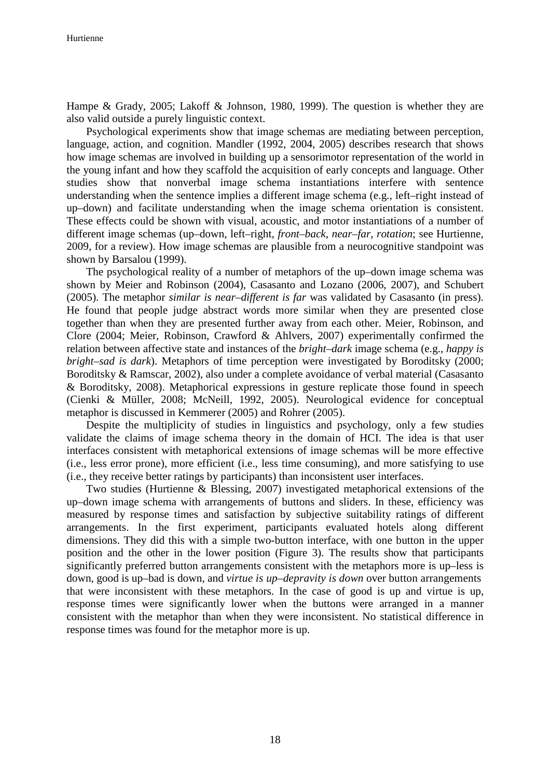Hampe & Grady, 2005; Lakoff & Johnson, 1980, 1999). The question is whether they are also valid outside a purely linguistic context.

Psychological experiments show that image schemas are mediating between perception, language, action, and cognition. Mandler (1992, 2004, 2005) describes research that shows how image schemas are involved in building up a sensorimotor representation of the world in the young infant and how they scaffold the acquisition of early concepts and language. Other studies show that nonverbal image schema instantiations interfere with sentence understanding when the sentence implies a different image schema (e.g., left–right instead of up–down) and facilitate understanding when the image schema orientation is consistent. These effects could be shown with visual, acoustic, and motor instantiations of a number of different image schemas (up–down, left–right, *front–back*, *near–far*, *rotation*; see Hurtienne, 2009, for a review). How image schemas are plausible from a neurocognitive standpoint was shown by Barsalou (1999).

The psychological reality of a number of metaphors of the up–down image schema was shown by Meier and Robinson (2004), Casasanto and Lozano (2006, 2007), and Schubert (2005). The metaphor *similar is near–different is far* was validated by Casasanto (in press). He found that people judge abstract words more similar when they are presented close together than when they are presented further away from each other. Meier, Robinson, and Clore (2004; Meier, Robinson, Crawford & Ahlvers, 2007) experimentally confirmed the relation between affective state and instances of the *bright–dark* image schema (e.g., *happy is bright–sad is dark*). Metaphors of time perception were investigated by Boroditsky (2000; Boroditsky & Ramscar, 2002), also under a complete avoidance of verbal material (Casasanto & Boroditsky, 2008). Metaphorical expressions in gesture replicate those found in speech (Cienki & Müller, 2008; McNeill, 1992, 2005). Neurological evidence for conceptual metaphor is discussed in Kemmerer (2005) and Rohrer (2005).

Despite the multiplicity of studies in linguistics and psychology, only a few studies validate the claims of image schema theory in the domain of HCI. The idea is that user interfaces consistent with metaphorical extensions of image schemas will be more effective (i.e., less error prone), more efficient (i.e., less time consuming), and more satisfying to use (i.e., they receive better ratings by participants) than inconsistent user interfaces.

Two studies (Hurtienne & Blessing, 2007) investigated metaphorical extensions of the up–down image schema with arrangements of buttons and sliders. In these, efficiency was measured by response times and satisfaction by subjective suitability ratings of different arrangements. In the first experiment, participants evaluated hotels along different dimensions. They did this with a simple two-button interface, with one button in the upper position and the other in the lower position (Figure 3). The results show that participants significantly preferred button arrangements consistent with the metaphors more is up–less is down, good is up–bad is down, and *virtue is up–depravity is down* over button arrangements that were inconsistent with these metaphors. In the case of good is up and virtue is up, response times were significantly lower when the buttons were arranged in a manner consistent with the metaphor than when they were inconsistent. No statistical difference in response times was found for the metaphor more is up.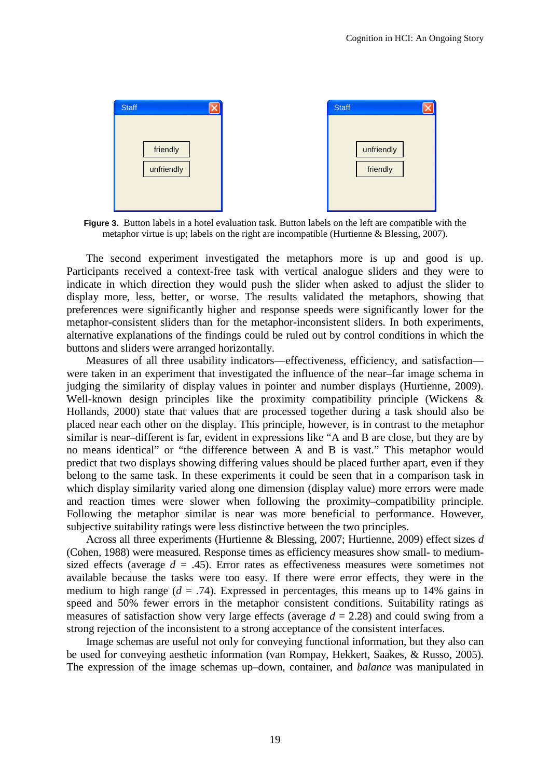

**Figure 3.** Button labels in a hotel evaluation task. Button labels on the left are compatible with the metaphor virtue is up; labels on the right are incompatible (Hurtienne & Blessing, 2007).

The second experiment investigated the metaphors more is up and good is up. Participants received a context-free task with vertical analogue sliders and they were to indicate in which direction they would push the slider when asked to adjust the slider to display more, less, better, or worse. The results validated the metaphors, showing that preferences were significantly higher and response speeds were significantly lower for the metaphor-consistent sliders than for the metaphor-inconsistent sliders. In both experiments, alternative explanations of the findings could be ruled out by control conditions in which the buttons and sliders were arranged horizontally.

Measures of all three usability indicators—effectiveness, efficiency, and satisfaction were taken in an experiment that investigated the influence of the near–far image schema in judging the similarity of display values in pointer and number displays (Hurtienne, 2009). Well-known design principles like the proximity compatibility principle (Wickens & Hollands, 2000) state that values that are processed together during a task should also be placed near each other on the display. This principle, however, is in contrast to the metaphor similar is near–different is far, evident in expressions like "A and B are close, but they are by no means identical" or "the difference between A and B is vast." This metaphor would predict that two displays showing differing values should be placed further apart, even if they belong to the same task. In these experiments it could be seen that in a comparison task in which display similarity varied along one dimension (display value) more errors were made and reaction times were slower when following the proximity–compatibility principle. Following the metaphor similar is near was more beneficial to performance. However, subjective suitability ratings were less distinctive between the two principles.

Across all three experiments (Hurtienne & Blessing, 2007; Hurtienne, 2009) effect sizes *d* (Cohen, 1988) were measured. Response times as efficiency measures show small- to mediumsized effects (average  $d = .45$ ). Error rates as effectiveness measures were sometimes not available because the tasks were too easy. If there were error effects, they were in the medium to high range  $(d = .74)$ . Expressed in percentages, this means up to 14% gains in speed and 50% fewer errors in the metaphor consistent conditions. Suitability ratings as measures of satisfaction show very large effects (average *d* = 2.28) and could swing from a strong rejection of the inconsistent to a strong acceptance of the consistent interfaces.

Image schemas are useful not only for conveying functional information, but they also can be used for conveying aesthetic information (van Rompay, Hekkert, Saakes, & Russo, 2005). The expression of the image schemas up–down, container, and *balance* was manipulated in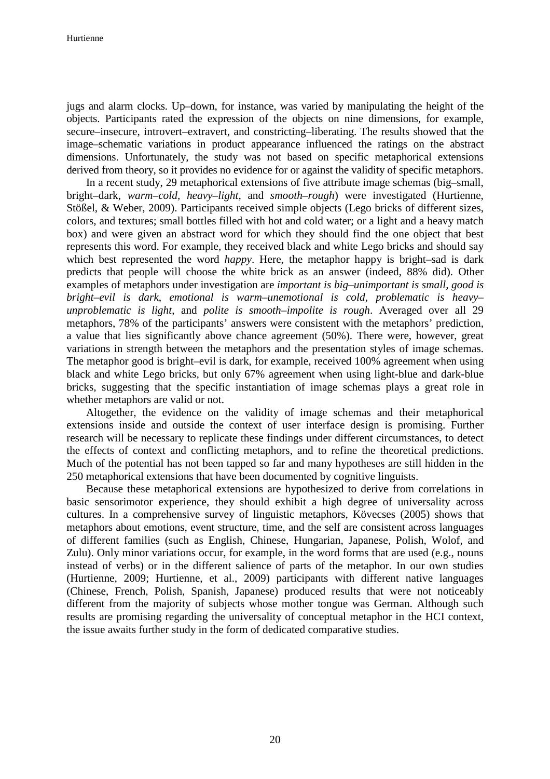jugs and alarm clocks. Up–down, for instance, was varied by manipulating the height of the objects. Participants rated the expression of the objects on nine dimensions, for example, secure–insecure, introvert–extravert, and constricting–liberating. The results showed that the image–schematic variations in product appearance influenced the ratings on the abstract dimensions. Unfortunately, the study was not based on specific metaphorical extensions derived from theory, so it provides no evidence for or against the validity of specific metaphors.

In a recent study, 29 metaphorical extensions of five attribute image schemas (big–small, bright–dark, *warm–cold, heavy–light*, and *smooth–rough*) were investigated (Hurtienne, Stößel, & Weber, 2009). Participants received simple objects (Lego bricks of different sizes, colors, and textures; small bottles filled with hot and cold water; or a light and a heavy match box) and were given an abstract word for which they should find the one object that best represents this word. For example, they received black and white Lego bricks and should say which best represented the word *happy*. Here, the metaphor happy is bright–sad is dark predicts that people will choose the white brick as an answer (indeed, 88% did). Other examples of metaphors under investigation are *important is big–unimportant is small, good is bright–evil is dark*, *emotional is warm–unemotional is cold*, *problematic is heavy– unproblematic is light*, and *polite is smooth–impolite is rough*. Averaged over all 29 metaphors, 78% of the participants' answers were consistent with the metaphors' prediction, a value that lies significantly above chance agreement (50%). There were, however, great variations in strength between the metaphors and the presentation styles of image schemas. The metaphor good is bright–evil is dark, for example, received 100% agreement when using black and white Lego bricks, but only 67% agreement when using light-blue and dark-blue bricks, suggesting that the specific instantiation of image schemas plays a great role in whether metaphors are valid or not.

Altogether, the evidence on the validity of image schemas and their metaphorical extensions inside and outside the context of user interface design is promising. Further research will be necessary to replicate these findings under different circumstances, to detect the effects of context and conflicting metaphors, and to refine the theoretical predictions. Much of the potential has not been tapped so far and many hypotheses are still hidden in the 250 metaphorical extensions that have been documented by cognitive linguists.

Because these metaphorical extensions are hypothesized to derive from correlations in basic sensorimotor experience, they should exhibit a high degree of universality across cultures. In a comprehensive survey of linguistic metaphors, Kövecses (2005) shows that metaphors about emotions, event structure, time, and the self are consistent across languages of different families (such as English, Chinese, Hungarian, Japanese, Polish, Wolof, and Zulu). Only minor variations occur, for example, in the word forms that are used (e.g., nouns instead of verbs) or in the different salience of parts of the metaphor. In our own studies (Hurtienne, 2009; Hurtienne, et al., 2009) participants with different native languages (Chinese, French, Polish, Spanish, Japanese) produced results that were not noticeably different from the majority of subjects whose mother tongue was German. Although such results are promising regarding the universality of conceptual metaphor in the HCI context, the issue awaits further study in the form of dedicated comparative studies.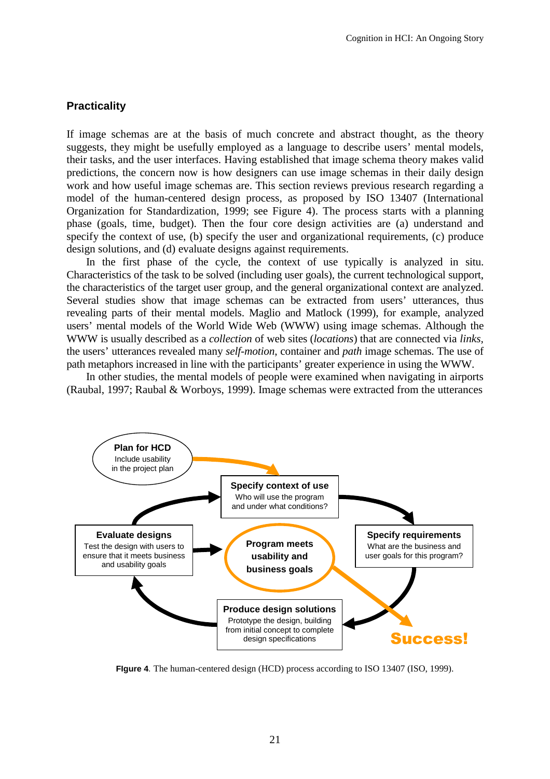### **Practicality**

If image schemas are at the basis of much concrete and abstract thought, as the theory suggests, they might be usefully employed as a language to describe users' mental models, their tasks, and the user interfaces. Having established that image schema theory makes valid predictions, the concern now is how designers can use image schemas in their daily design work and how useful image schemas are. This section reviews previous research regarding a model of the human-centered design process, as proposed by ISO 13407 (International Organization for Standardization, 1999; see Figure 4). The process starts with a planning phase (goals, time, budget). Then the four core design activities are (a) understand and specify the context of use, (b) specify the user and organizational requirements, (c) produce design solutions, and (d) evaluate designs against requirements.

In the first phase of the cycle, the context of use typically is analyzed in situ. Characteristics of the task to be solved (including user goals), the current technological support, the characteristics of the target user group, and the general organizational context are analyzed. Several studies show that image schemas can be extracted from users' utterances, thus revealing parts of their mental models. Maglio and Matlock (1999), for example, analyzed users' mental models of the World Wide Web (WWW) using image schemas. Although the WWW is usually described as a *collection* of web sites (*locations*) that are connected via *links,* the users' utterances revealed many *self-motion*, container and *path* image schemas. The use of path metaphors increased in line with the participants' greater experience in using the WWW.

In other studies, the mental models of people were examined when navigating in airports (Raubal, 1997; Raubal & Worboys, 1999). Image schemas were extracted from the utterances



**FIgure 4**. The human-centered design (HCD) process according to ISO 13407 (ISO, 1999).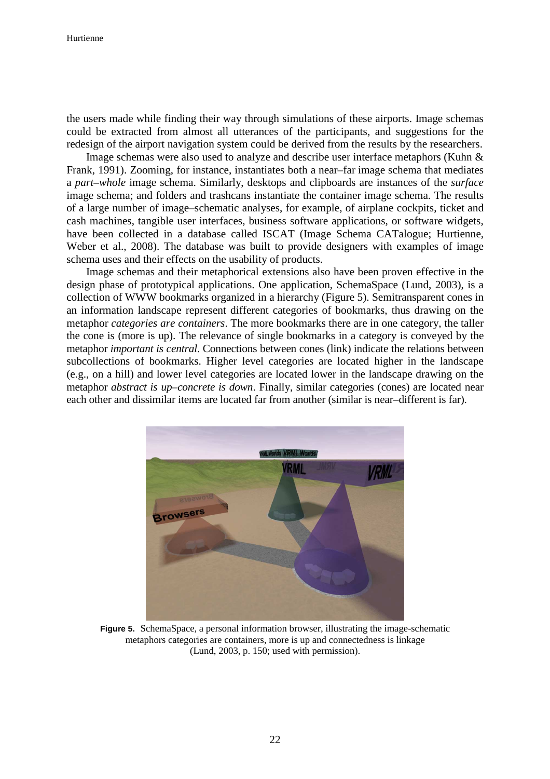the users made while finding their way through simulations of these airports. Image schemas could be extracted from almost all utterances of the participants, and suggestions for the redesign of the airport navigation system could be derived from the results by the researchers.

Image schemas were also used to analyze and describe user interface metaphors (Kuhn & Frank, 1991). Zooming, for instance, instantiates both a near–far image schema that mediates a *part–whole* image schema. Similarly, desktops and clipboards are instances of the *surface* image schema; and folders and trashcans instantiate the container image schema. The results of a large number of image–schematic analyses, for example, of airplane cockpits, ticket and cash machines, tangible user interfaces, business software applications, or software widgets, have been collected in a database called ISCAT (Image Schema CATalogue; Hurtienne, Weber et al., 2008). The database was built to provide designers with examples of image schema uses and their effects on the usability of products.

Image schemas and their metaphorical extensions also have been proven effective in the design phase of prototypical applications. One application, SchemaSpace (Lund, 2003), is a collection of WWW bookmarks organized in a hierarchy (Figure 5). Semitransparent cones in an information landscape represent different categories of bookmarks, thus drawing on the metaphor *categories are containers*. The more bookmarks there are in one category, the taller the cone is (more is up). The relevance of single bookmarks in a category is conveyed by the metaphor *important is central*. Connections between cones (link) indicate the relations between subcollections of bookmarks. Higher level categories are located higher in the landscape (e.g., on a hill) and lower level categories are located lower in the landscape drawing on the metaphor *abstract is up–concrete is down*. Finally, similar categories (cones) are located near each other and dissimilar items are located far from another (similar is near–different is far).



**Figure 5.** SchemaSpace, a personal information browser, illustrating the image-schematic metaphors categories are containers, more is up and connectedness is linkage (Lund, 2003, p. 150; used with permission).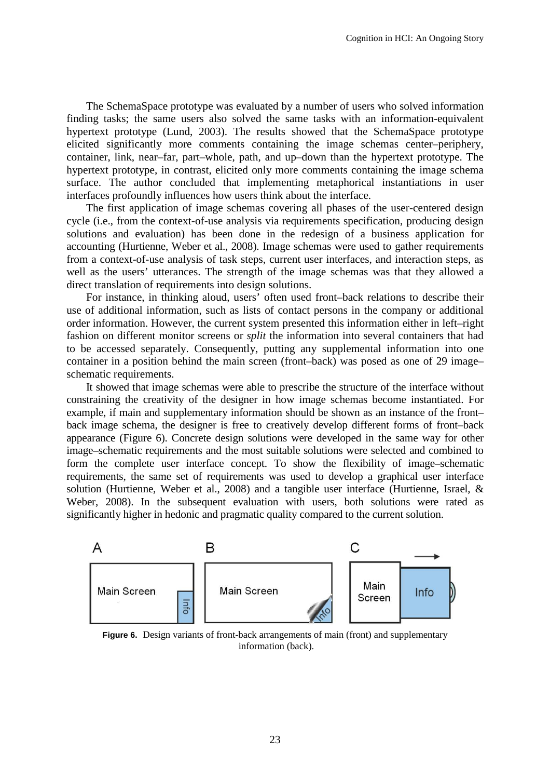The SchemaSpace prototype was evaluated by a number of users who solved information finding tasks; the same users also solved the same tasks with an information-equivalent hypertext prototype (Lund, 2003). The results showed that the SchemaSpace prototype elicited significantly more comments containing the image schemas center–periphery, container, link, near–far, part–whole, path, and up–down than the hypertext prototype. The hypertext prototype, in contrast, elicited only more comments containing the image schema surface. The author concluded that implementing metaphorical instantiations in user interfaces profoundly influences how users think about the interface.

The first application of image schemas covering all phases of the user-centered design cycle (i.e., from the context-of-use analysis via requirements specification, producing design solutions and evaluation) has been done in the redesign of a business application for accounting (Hurtienne, Weber et al., 2008). Image schemas were used to gather requirements from a context-of-use analysis of task steps, current user interfaces, and interaction steps, as well as the users' utterances. The strength of the image schemas was that they allowed a direct translation of requirements into design solutions.

For instance, in thinking aloud, users' often used front–back relations to describe their use of additional information, such as lists of contact persons in the company or additional order information. However, the current system presented this information either in left–right fashion on different monitor screens or *split* the information into several containers that had to be accessed separately. Consequently, putting any supplemental information into one container in a position behind the main screen (front–back) was posed as one of 29 image– schematic requirements.

It showed that image schemas were able to prescribe the structure of the interface without constraining the creativity of the designer in how image schemas become instantiated. For example, if main and supplementary information should be shown as an instance of the front– back image schema, the designer is free to creatively develop different forms of front–back appearance (Figure 6). Concrete design solutions were developed in the same way for other image–schematic requirements and the most suitable solutions were selected and combined to form the complete user interface concept. To show the flexibility of image–schematic requirements, the same set of requirements was used to develop a graphical user interface solution (Hurtienne, Weber et al., 2008) and a tangible user interface (Hurtienne, Israel, & Weber, 2008). In the subsequent evaluation with users, both solutions were rated as significantly higher in hedonic and pragmatic quality compared to the current solution.



**Figure 6.** Design variants of front-back arrangements of main (front) and supplementary information (back).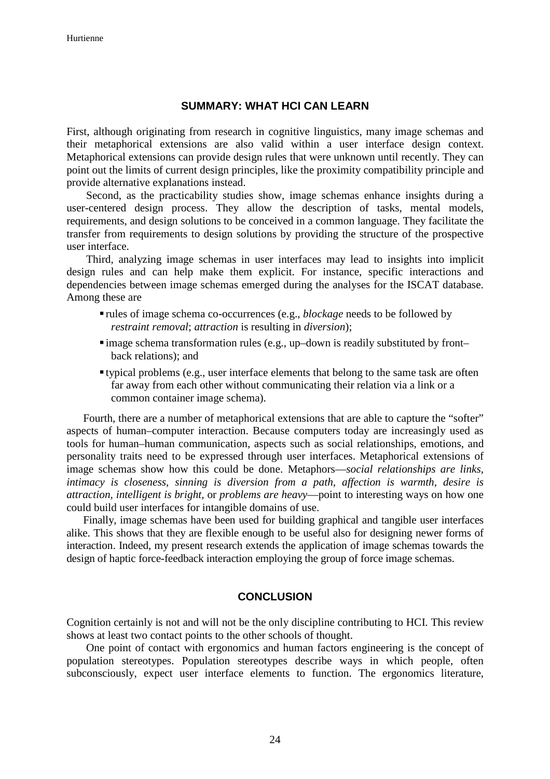#### **SUMMARY: WHAT HCI CAN LEARN**

First, although originating from research in cognitive linguistics, many image schemas and their metaphorical extensions are also valid within a user interface design context. Metaphorical extensions can provide design rules that were unknown until recently. They can point out the limits of current design principles, like the proximity compatibility principle and provide alternative explanations instead.

Second, as the practicability studies show, image schemas enhance insights during a user-centered design process. They allow the description of tasks, mental models, requirements, and design solutions to be conceived in a common language. They facilitate the transfer from requirements to design solutions by providing the structure of the prospective user interface.

Third, analyzing image schemas in user interfaces may lead to insights into implicit design rules and can help make them explicit. For instance, specific interactions and dependencies between image schemas emerged during the analyses for the ISCAT database. Among these are

- rules of image schema co-occurrences (e.g., *blockage* needs to be followed by *restraint removal*; *attraction* is resulting in *diversion*);
- image schema transformation rules (e.g., up–down is readily substituted by front– back relations); and
- typical problems (e.g., user interface elements that belong to the same task are often far away from each other without communicating their relation via a link or a common container image schema).

Fourth, there are a number of metaphorical extensions that are able to capture the "softer" aspects of human–computer interaction. Because computers today are increasingly used as tools for human–human communication, aspects such as social relationships, emotions, and personality traits need to be expressed through user interfaces. Metaphorical extensions of image schemas show how this could be done. Metaphors—*social relationships are links, intimacy is closeness, sinning is diversion from a path, affection is warmth, desire is attraction, intelligent is bright*, or *problems are heavy*—point to interesting ways on how one could build user interfaces for intangible domains of use.

Finally, image schemas have been used for building graphical and tangible user interfaces alike. This shows that they are flexible enough to be useful also for designing newer forms of interaction. Indeed, my present research extends the application of image schemas towards the design of haptic force-feedback interaction employing the group of force image schemas.

## **CONCLUSION**

Cognition certainly is not and will not be the only discipline contributing to HCI. This review shows at least two contact points to the other schools of thought.

One point of contact with ergonomics and human factors engineering is the concept of population stereotypes. Population stereotypes describe ways in which people, often subconsciously, expect user interface elements to function. The ergonomics literature,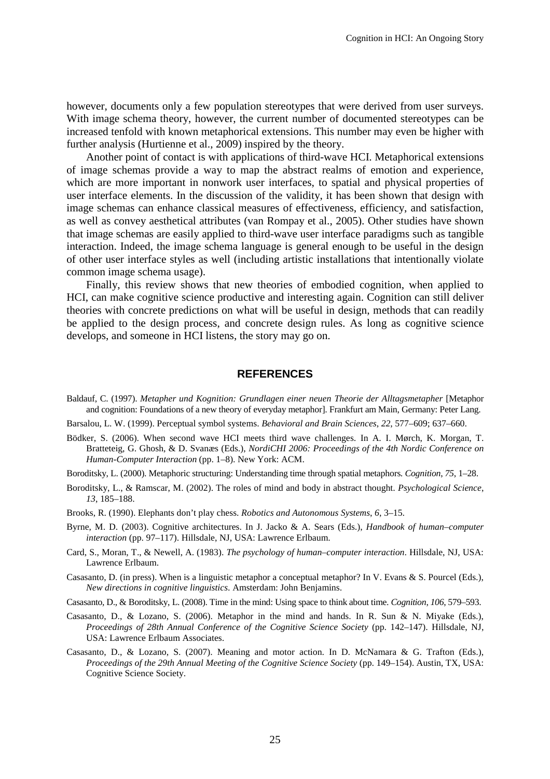however, documents only a few population stereotypes that were derived from user surveys. With image schema theory, however, the current number of documented stereotypes can be increased tenfold with known metaphorical extensions. This number may even be higher with further analysis (Hurtienne et al., 2009) inspired by the theory.

Another point of contact is with applications of third-wave HCI. Metaphorical extensions of image schemas provide a way to map the abstract realms of emotion and experience, which are more important in nonwork user interfaces, to spatial and physical properties of user interface elements. In the discussion of the validity, it has been shown that design with image schemas can enhance classical measures of effectiveness, efficiency, and satisfaction, as well as convey aesthetical attributes (van Rompay et al., 2005). Other studies have shown that image schemas are easily applied to third-wave user interface paradigms such as tangible interaction. Indeed, the image schema language is general enough to be useful in the design of other user interface styles as well (including artistic installations that intentionally violate common image schema usage).

Finally, this review shows that new theories of embodied cognition, when applied to HCI, can make cognitive science productive and interesting again. Cognition can still deliver theories with concrete predictions on what will be useful in design, methods that can readily be applied to the design process, and concrete design rules. As long as cognitive science develops, and someone in HCI listens, the story may go on.

#### **REFERENCES**

- Baldauf, C. (1997). *Metapher und Kognition: Grundlagen einer neuen Theorie der Alltagsmetapher* [Metaphor and cognition: Foundations of a new theory of everyday metaphor]. Frankfurt am Main, Germany: Peter Lang.
- Barsalou, L. W. (1999). Perceptual symbol systems. *Behavioral and Brain Sciences*, *22*, 577–609; 637–660.
- Bödker, S. (2006). When second wave HCI meets third wave challenges. In A. I. Mørch, K. Morgan, T. Bratteteig, G. Ghosh, & D. Svanæs (Eds.), *NordiCHI 2006: Proceedings of the 4th Nordic Conference on Human-Computer Interaction* (pp. 1–8). New York: ACM.
- Boroditsky, L. (2000). Metaphoric structuring: Understanding time through spatial metaphors. *Cognition*, *75*, 1–28.
- Boroditsky, L., & Ramscar, M. (2002). The roles of mind and body in abstract thought. *Psychological Science*, *13*, 185–188.
- Brooks, R. (1990). Elephants don't play chess. *Robotics and Autonomous Systems*, *6*, 3–15.
- Byrne, M. D. (2003). Cognitive architectures. In J. Jacko & A. Sears (Eds.), *Handbook of human–computer interaction* (pp. 97–117). Hillsdale, NJ, USA: Lawrence Erlbaum.
- Card, S., Moran, T., & Newell, A. (1983). *The psychology of human–computer interaction*. Hillsdale, NJ, USA: Lawrence Erlbaum.
- Casasanto, D. (in press). When is a linguistic metaphor a conceptual metaphor? In V. Evans & S. Pourcel (Eds.), *New directions in cognitive linguistics*. Amsterdam: John Benjamins.
- Casasanto, D., & Boroditsky, L. (2008). Time in the mind: Using space to think about time. *Cognition*, *106*, 579–593.
- Casasanto, D., & Lozano, S. (2006). Metaphor in the mind and hands. In R. Sun & N. Miyake (Eds.), *Proceedings of 28th Annual Conference of the Cognitive Science Society* (pp. 142–147). Hillsdale, NJ, USA: Lawrence Erlbaum Associates.
- Casasanto, D., & Lozano, S. (2007). Meaning and motor action. In D. McNamara & G. Trafton (Eds.), *Proceedings of the 29th Annual Meeting of the Cognitive Science Society* (pp. 149–154). Austin, TX, USA: Cognitive Science Society.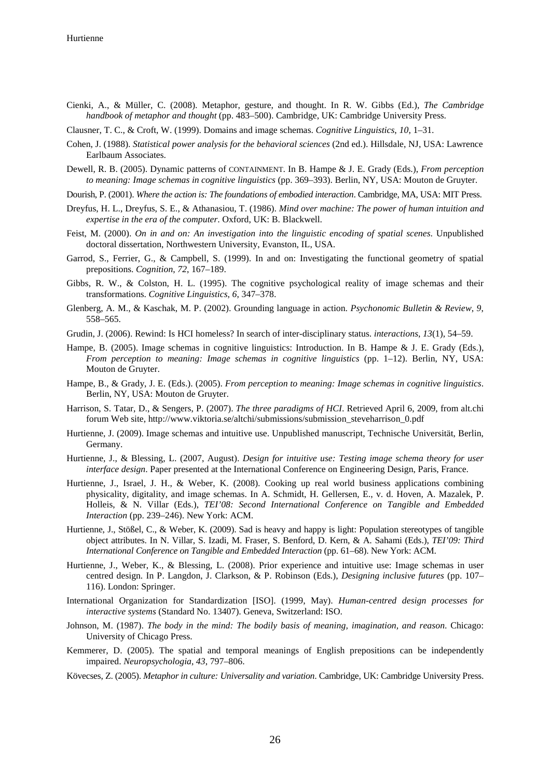Cienki, A., & Müller, C. (2008). Metaphor, gesture, and thought. In R. W. Gibbs (Ed.), *The Cambridge handbook of metaphor and thought* (pp. 483–500). Cambridge, UK: Cambridge University Press.

Clausner, T. C., & Croft, W. (1999). Domains and image schemas. *Cognitive Linguistics*, *10*, 1–31.

- Cohen, J. (1988). *Statistical power analysis for the behavioral sciences* (2nd ed.). Hillsdale, NJ, USA: Lawrence Earlbaum Associates.
- Dewell, R. B. (2005). Dynamic patterns of CONTAINMENT. In B. Hampe & J. E. Grady (Eds.), *From perception to meaning: Image schemas in cognitive linguistics* (pp. 369–393). Berlin, NY, USA: Mouton de Gruyter.
- Dourish, P. (2001). *Where the action is: The foundations of embodied interaction*. Cambridge, MA, USA: MIT Press.
- Dreyfus, H. L., Dreyfus, S. E., & Athanasiou, T. (1986). *Mind over machine: The power of human intuition and expertise in the era of the computer*. Oxford, UK: B. Blackwell.
- Feist, M. (2000). *On in and on: An investigation into the linguistic encoding of spatial scenes*. Unpublished doctoral dissertation, Northwestern University, Evanston, IL, USA.
- Garrod, S., Ferrier, G., & Campbell, S. (1999). In and on: Investigating the functional geometry of spatial prepositions. *Cognition*, *72*, 167–189.
- Gibbs, R. W., & Colston, H. L. (1995). The cognitive psychological reality of image schemas and their transformations. *Cognitive Linguistics*, *6*, 347–378.
- Glenberg, A. M., & Kaschak, M. P. (2002). Grounding language in action. *Psychonomic Bulletin & Review*, *9*, 558–565.
- Grudin, J. (2006). Rewind: Is HCI homeless? In search of inter-disciplinary status. *interactions*, *13*(1), 54–59.
- Hampe, B. (2005). Image schemas in cognitive linguistics: Introduction. In B. Hampe & J. E. Grady (Eds.), *From perception to meaning: Image schemas in cognitive linguistics* (pp. 1–12). Berlin, NY, USA: Mouton de Gruyter.
- Hampe, B., & Grady, J. E. (Eds.). (2005). *From perception to meaning: Image schemas in cognitive linguistics*. Berlin, NY, USA: Mouton de Gruyter.
- Harrison, S. Tatar, D., & Sengers, P. (2007). *The three paradigms of HCI*. Retrieved April 6, 2009, from alt.chi forum Web site, http://www.viktoria.se/altchi/submissions/submission\_steveharrison\_0.pdf
- Hurtienne, J. (2009). Image schemas and intuitive use. Unpublished manuscript, Technische Universität, Berlin, Germany.
- Hurtienne, J., & Blessing, L. (2007, August). *Design for intuitive use: Testing image schema theory for user interface design*. Paper presented at the International Conference on Engineering Design, Paris, France.
- Hurtienne, J., Israel, J. H., & Weber, K. (2008). Cooking up real world business applications combining physicality, digitality, and image schemas. In A. Schmidt, H. Gellersen, E., v. d. Hoven, A. Mazalek, P. Holleis, & N. Villar (Eds.), *TEI'08: Second International Conference on Tangible and Embedded Interaction* (pp. 239–246). New York: ACM.
- Hurtienne, J., Stößel, C., & Weber, K. (2009). Sad is heavy and happy is light: Population stereotypes of tangible object attributes. In N. Villar, S. Izadi, M. Fraser, S. Benford, D. Kern, & A. Sahami (Eds.), *TEI'09: Third International Conference on Tangible and Embedded Interaction* (pp. 61–68). New York: ACM.
- Hurtienne, J., Weber, K., & Blessing, L. (2008). Prior experience and intuitive use: Image schemas in user centred design. In P. Langdon, J. Clarkson, & P. Robinson (Eds.), *Designing inclusive futures* (pp. 107– 116). London: Springer.
- International Organization for Standardization [ISO]. (1999, May). *Human-centred design processes for interactive systems* (Standard No. 13407). Geneva, Switzerland: ISO.
- Johnson, M. (1987). *The body in the mind: The bodily basis of meaning, imagination, and reason*. Chicago: University of Chicago Press.
- Kemmerer, D. (2005). The spatial and temporal meanings of English prepositions can be independently impaired. *Neuropsychologia*, *43*, 797–806.
- Kövecses, Z. (2005). *Metaphor in culture: Universality and variation*. Cambridge, UK: Cambridge University Press.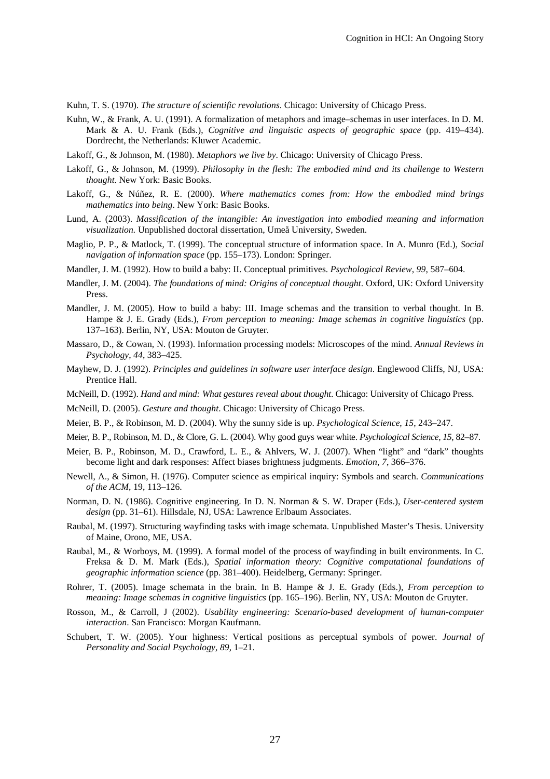Kuhn, T. S. (1970). *The structure of scientific revolutions*. Chicago: University of Chicago Press.

- Kuhn, W., & Frank, A. U. (1991). A formalization of metaphors and image–schemas in user interfaces. In D. M. Mark & A. U. Frank (Eds.), *Cognitive and linguistic aspects of geographic space* (pp. 419–434). Dordrecht, the Netherlands: Kluwer Academic.
- Lakoff, G., & Johnson, M. (1980). *Metaphors we live by*. Chicago: University of Chicago Press.
- Lakoff, G., & Johnson, M. (1999). *Philosophy in the flesh: The embodied mind and its challenge to Western thought*. New York: Basic Books.
- Lakoff, G., & Núñez, R. E. (2000). *Where mathematics comes from: How the embodied mind brings mathematics into being*. New York: Basic Books.
- Lund, A. (2003). *Massification of the intangible: An investigation into embodied meaning and information visualization.* Unpublished doctoral dissertation, Umeå University, Sweden.
- Maglio, P. P., & Matlock, T. (1999). The conceptual structure of information space. In A. Munro (Ed.), *Social navigation of information space* (pp. 155–173). London: Springer.
- Mandler, J. M. (1992). How to build a baby: II. Conceptual primitives. *Psychological Review*, *99*, 587–604.
- Mandler, J. M. (2004). *The foundations of mind: Origins of conceptual thought*. Oxford, UK: Oxford University Press.
- Mandler, J. M. (2005). How to build a baby: III. Image schemas and the transition to verbal thought. In B. Hampe & J. E. Grady (Eds.), *From perception to meaning: Image schemas in cognitive linguistics* (pp. 137–163). Berlin, NY, USA: Mouton de Gruyter.
- Massaro, D., & Cowan, N. (1993). Information processing models: Microscopes of the mind. *Annual Reviews in Psychology*, *44*, 383–425.
- Mayhew, D. J. (1992). *Principles and guidelines in software user interface design*. Englewood Cliffs, NJ, USA: Prentice Hall.
- McNeill, D. (1992). *Hand and mind: What gestures reveal about thought*. Chicago: University of Chicago Press.
- McNeill, D. (2005). *Gesture and thought*. Chicago: University of Chicago Press.
- Meier, B. P., & Robinson, M. D. (2004). Why the sunny side is up. *Psychological Science*, *15*, 243–247.
- Meier, B. P., Robinson, M. D., & Clore, G. L. (2004). Why good guys wear white. *Psychological Science*, *15*, 82–87.
- Meier, B. P., Robinson, M. D., Crawford, L. E., & Ahlvers, W. J. (2007). When "light" and "dark" thoughts become light and dark responses: Affect biases brightness judgments. *Emotion*, *7*, 366–376.
- Newell, A., & Simon, H. (1976). Computer science as empirical inquiry: Symbols and search. *Communications of the ACM*, 19, 113–126.
- Norman, D. N. (1986). Cognitive engineering. In D. N. Norman & S. W. Draper (Eds.), *User-centered system design* (pp. 31–61). Hillsdale, NJ, USA: Lawrence Erlbaum Associates.
- Raubal, M. (1997). Structuring wayfinding tasks with image schemata. Unpublished Master's Thesis. University of Maine, Orono, ME, USA.
- Raubal, M., & Worboys, M. (1999). A formal model of the process of wayfinding in built environments. In C. Freksa & D. M. Mark (Eds.), *Spatial information theory: Cognitive computational foundations of geographic information science* (pp. 381–400). Heidelberg, Germany: Springer.
- Rohrer, T. (2005). Image schemata in the brain. In B. Hampe & J. E. Grady (Eds.), *From perception to meaning: Image schemas in cognitive linguistics* (pp. 165–196). Berlin, NY, USA: Mouton de Gruyter.
- Rosson, M., & Carroll, J (2002). *Usability engineering: Scenario-based development of human-computer interaction*. San Francisco: Morgan Kaufmann.
- Schubert, T. W. (2005). Your highness: Vertical positions as perceptual symbols of power. *Journal of Personality and Social Psychology*, *89*, 1–21.